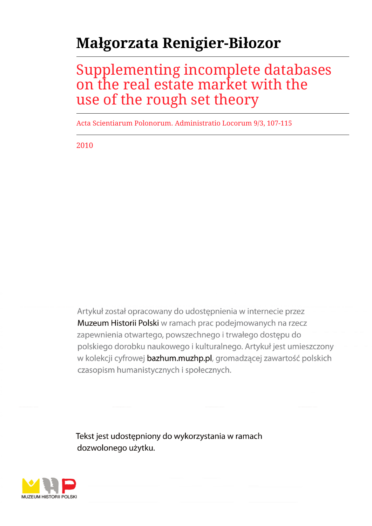# **Małgorzata Renigier-Biłozor**

## Supplementing incomplete databases on the real estate market with the use of the rough set theory

Acta Scientiarum Polonorum. Administratio Locorum 9/3, 107-115

2010

Artykuł został opracowany do udostępnienia w internecie przez Muzeum Historii Polski w ramach prac podejmowanych na rzecz zapewnienia otwartego, powszechnego i trwałego dostępu do polskiego dorobku naukowego i kulturalnego. Artykuł jest umieszczony w kolekcji cyfrowej bazhum.muzhp.pl, gromadzącej zawartość polskich czasopism humanistycznych i społecznych.

Tekst jest udostępniony do wykorzystania w ramach dozwolonego użytku.

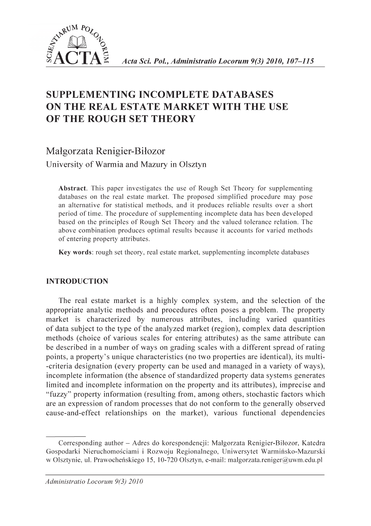

### **SUPPLEMENTING INCOMPLETE DATABASES ON THE REAL ESTATE MARKET WITH THE USE OF THE ROUGH SET THEORY**

Małgorzata Renigier-Biłozor **University of Warmia and Mazury in Olsztyn**

Abstract. This paper investigates the use of Rough Set Theory for supplementing databases on the real estate market. The proposed simplified procedure may pose an alternative for statistical methods, and it produces reliable results over a short period of time. The procedure of supplementing incomplete data has been developed based on the principles of Rough Set Theory and the valued tolerance relation. The above combination produces optimal results because it accounts for varied methods of entering property attributes.

Key words: rough set theory, real estate market, supplementing incomplete databases

#### INTRODUCTION

The real estate market is a highly complex system, and the selection of the appropriate analytic methods and procedures often poses a problem. The property market is characterized by numerous attributes, including varied quantities of data subject to the type of the analyzed market (region), complex data description methods (choice of various scales for entering attributes) as the same attribute can be described in a number of ways on grading scales with a different spread of rating points, a property's unique characteristics (no two properties are identical), its multi--criteria designation (every property can be used and managed in a variety of ways), incomplete information (the absence of standardized property data systems generates limited and incomplete information on the property and its attributes), imprecise and "fuzzy" property information (resulting from, among others, stochastic factors which are an expression of random processes that do not conform to the generally observed cause-and-effect relationships on the market), various functional dependencies

Corresponding author - Adres do korespondencji: Małgorzata Renigier-Biłozor, Katedra Gospodarki Nieruchomościami i Rozwoju Regionalnego, Uniwersytet Warmińsko-Mazurski w Olsztynie, ul. Prawocheńskiego 15, 10-720 Olsztyn, e-mail: [malgorzata.reniger@uwm.edu.pl](mailto:malgorzata.reniger@uwm.edu.pl)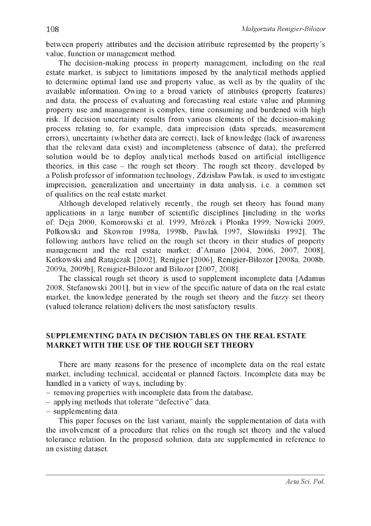betw een property attributes and the decision attribute represented by the property's value, function or management method.

The decision-making process in property management, including on the real estate market, is subject to limitations imposed by the analytical methods applied to determine optimal land use and property value, as well as by the quality of the available information. Owing to a broad variety of attributes (property features) and data, the process of evaluating and forecasting real estate value and planning property use and management is complex, time consuming and burdened with high risk. If decision uncertainty results from various elements of the decision-making process relating to, for example, data imprecision (data spreads, measurement errors), uncertainty (whether data are correct), lack of knowledge (lack of awareness that the relevant data exist) and incompleteness (absence of data), the preferred solution would be to deploy analytical methods based on artificial intelligence theories, in this case - the rough set theory. The rough set theory, developed by a Polish professor of information technology, Zdzisław Pawlak, is used to investigate imprecision, generalization and uncertainty in data analysis, i.e. a common set of qualities on the real estate market.

Although developed relatively recently, the rough set theory has found many applications in a large number of scientific disciplines [including in the works of: Deja 2000, Komorowski et al. 1999, Mrózek i Płonka 1999, Nowicki 2009. Polkowski and Skowron 1998a, 1998b, Pawlak 1997, Słowiński 1992]. The following authors have relied on the rough set theory in their studies of property management and the real estate market: d'Amato [2004, 2006, 2007, 2008]. K otkowski and Ratajczak [2002], Renigier [2006], Renigier-Biłozor [2008a, 2008b, 2009a, 2009b], Renigier-Biłozor and Biłozor [2007, 2008].

The classical rough set theory is used to supplement incomplete data [Adamus 2008, Stefanowski 2001], but in view of the specific nature of data on the real estate market, the knowledge generated by the rough set theory and the fuzzy set theory (valued tolerance relation) delivers the most satisfactory results.

#### SUPPLEMENTING DATA IN DECISION TABLES ON THE REAL ESTATE MARKET WITH THE USE OF THE ROUGH SET THEORY

There are many reasons for the presence of incomplete data on the real estate market, including technical, accidental or planned factors. Incomplete data may be handled in a variety of ways, including by:

- removing properties with incomplete data from the database.
- applying methods that tolerate "defective" data,
- supplementing data.

This paper focuses on the last variant, mainly the supplementation of data with the involvement of a procedure that relies on the rough set theory and the valued tolerance relation. In the proposed solution, data are supplemented in reference to an existing dataset.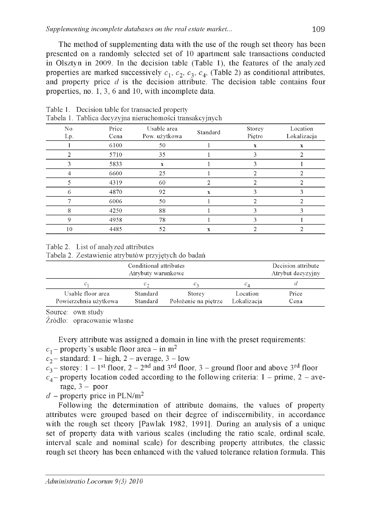The method of supplementing data with the use of the rough set theory has been presented on a randomly selected set of 10 apartment sale transactions conducted in Olsztyn in 2009. In the decision table (Table 1), the features of the analyzed properties are marked successively  $c_1$ ,  $c_2$ ,  $c_3$ ,  $c_4$ , (Table 2) as conditional attributes, and property price *d* is the decision attribute. The decision table contains four properties, no. 1, 3, 6 and 10, with incomplete data.

|            | - - -         |                              | ---      |                  |                         |
|------------|---------------|------------------------------|----------|------------------|-------------------------|
| No.<br>Lp. | Price<br>Cena | Usable area<br>Pow. użytkowa | Standard | Storey<br>Pietro | Location<br>Lokalizacja |
|            | 6100          | 50                           |          | x                | x                       |
| 2          | 5710          | 35                           |          | 3                |                         |
| 3          | 5833          | x                            |          | 3                |                         |
| 4          | 6600          | 25                           |          | 2                | 2                       |
|            | 4319          | 60                           |          |                  |                         |
| 6          | 4870          | 92                           | X        | 3                | 3                       |
|            | 6006          | 50                           |          |                  |                         |
| 8          | 4250          | 88                           |          |                  |                         |
| 9          | 4958          | 78                           |          | 3                |                         |
| 10         | 4485          | 52                           | X        |                  | ົ                       |

Table 1. Decision table for transacted property Tabela 1. Tablica decyzyjna nieruchomości transakcyjnych

#### Table 2. List of analyzed attributes

Tabela 2. Zestawienie atrybutów przyjętych do badań

|                                            | Decision attribute<br>Atrybut decyzyjny |                                |                         |               |
|--------------------------------------------|-----------------------------------------|--------------------------------|-------------------------|---------------|
| $C_1$                                      | $C_{\mathcal{D}}$                       | ပေ                             | $c_A$                   |               |
| Usable floor area<br>Powierzchnia użytkowa | Standard<br>Standard                    | Storey<br>Położenie na piętrze | Location<br>Lokalizacia | Price<br>Cena |

Source: own study

Źródło: opracowanie własne

Every attribute was assigned a domain in line with the preset requirements:

- $c_1$  property's usable floor area in m<sup>2</sup>
- $c_2$  standard: 1 high, 2 average, 3 low
- $c_3$  storey:  $1 1<sup>st</sup>$  floor,  $2 2<sup>nd</sup>$  and  $3<sup>rd</sup>$  floor,  $3$  ground floor and above  $3<sup>rd</sup>$  floor
- $c_4$  property location coded according to the following criteria: 1 prime, 2 average,  $3 -$  poor
- $d$  property price in PLN/m<sup>2</sup>

Following the determination of attribute domains, the values of property attributes were grouped based on their degree of indiscernibility, in accordance with the rough set theory [Pawlak 1982, 1991]. During an analysis of a unique set of property data with various scales (including the ratio scale, ordinal scale, interval scale and nominal scale) for describing property attributes, the classic rough set theory has been enhanced with the valued tolerance relation formula. This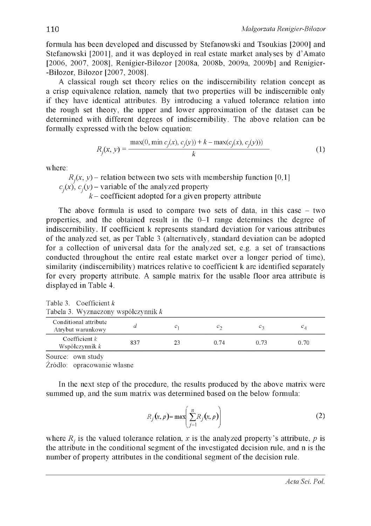form ula has been developed and discussed by Stefanowski and Tsoukias [2000] and Stefanowski [2001], and it was deployed in real estate market analyses by d'Amato [2006, 2007, 2008], Renigier-Bilozor [2008a, 2008b, 2009a, 2009b] and Renigier--Bilozor, Bilozor [2007, 2008].

A classical rough set theory relies on the indiscernibility relation concept as a crisp equivalence relation, namely that two properties will be indiscernible only if they have identical attributes. By introducing a valued tolerance relation into the rough set theory, the upper and lower approximation of the dataset can be determined with different degrees of indiscernibility. The above relation can be formally expressed with the below equation:

$$
R_j(x, y) = \frac{\max(0, \min c_j(x), c_j(y)) + k - \max(c_j(x), c_j(y)))}{k}
$$
 (1)

where:

 $R_i(x, y)$  – relation between two sets with membership function [0,1]  $c_j(x)$ ,  $c_j(y)$  – variable of the analyzed property  $k$  – coefficient adopted for a given property attribute

The above formula is used to compare two sets of data, in this case  $-$  two properties, and the obtained result in the  $0-1$  range determines the degree of indiscernibility. If coefficient k represents standard deviation for various attributes of the analyzed set, as per Table 3 (alternatively, standard deviation can be adopted for a collection of universal data for the analyzed set, e.g. a set of transactions conducted throughout the entire real estate market over a longer period of time), similarity (indiscernibility) matrices relative to coefficient k are identified separately for every property attribute. A sample matrix for the usable floor area attribute is displayed in Table 4.

| Tabela 3. Wyznaczony współczynnik k        |     |    |                      |      |                 |  |  |  |  |
|--------------------------------------------|-----|----|----------------------|------|-----------------|--|--|--|--|
| Conditional attribute<br>Atrybut warunkowy |     |    | $\mathcal{C}$ $\sim$ |      | $\sim$ $\times$ |  |  |  |  |
| Coefficient $k$<br>Współczynnik $k$        | 837 | 23 | 0.74                 | 0.73 | 0.70            |  |  |  |  |
|                                            |     |    |                      |      |                 |  |  |  |  |

Table 3. Coefficient *k* Tabela 3. Wyznaczony współczynnik *k*

Source: own study

Źródło: opracowanie własne

In the next step of the procedure, the results produced by the above matrix were summed up, and the sum matrix was determined based on the below formula:

$$
R_j(x, p) = \max\left(\sum_{j=1}^n R_j(x, p)\right)
$$
 (2)

where  $R_i$  is the valued tolerance relation, *x* is the analyzed property's attribute, *p* is the attribute in the conditional segment of the investigated decision rule, and n is the number of property attributes in the conditional segment of the decision rule.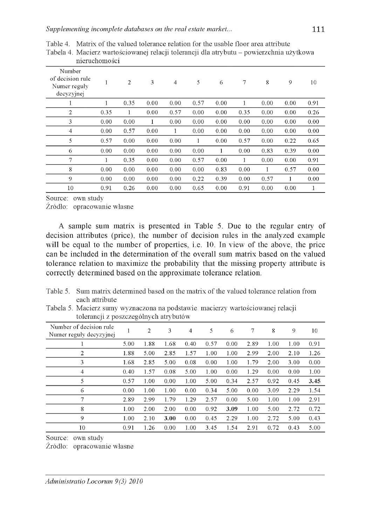|                                                          | nieruchomości |                |      |                |      |      |      |      |      |      |
|----------------------------------------------------------|---------------|----------------|------|----------------|------|------|------|------|------|------|
| Number<br>of decision rule<br>Numer reguly<br>decyzyjnej |               | $\overline{2}$ | 3    | $\overline{4}$ | 5    | 6    | 7    | 8    | 9    | 10   |
|                                                          |               | 0.35           | 0.00 | 0.00           | 0.57 | 0.00 |      | 0.00 | 0.00 | 0.91 |
| 2                                                        | 0.35          | 1              | 0.00 | 0.57           | 0.00 | 0.00 | 0.35 | 0.00 | 0.00 | 0.26 |
| 3                                                        | 0.00          | 0.00           | 1    | 0.00           | 0.00 | 0.00 | 0.00 | 0.00 | 0.00 | 0.00 |
| 4                                                        | 0.00          | 0.57           | 0.00 | 1              | 0.00 | 0.00 | 0.00 | 0.00 | 0.00 | 0.00 |
| 5                                                        | 0.57          | 0.00           | 0.00 | 0.00           | 1    | 0.00 | 0.57 | 0.00 | 0.22 | 0.65 |
| 6                                                        | 0.00          | 0.00           | 0.00 | 0.00           | 0.00 | 1    | 0.00 | 0.83 | 0.39 | 0.00 |
| 7                                                        |               | 0.35           | 0.00 | 0.00           | 0.57 | 0.00 |      | 0.00 | 0.00 | 0.91 |
| 8                                                        | 0.00          | 0.00           | 0.00 | 0.00           | 0.00 | 0.83 | 0.00 | 1    | 0.57 | 0.00 |
| 9                                                        | 0.00          | 0.00           | 0.00 | 0.00           | 0.22 | 0.39 | 0.00 | 0.57 |      | 0.00 |
| 10                                                       | 0.91          | 0.26           | 0.00 | 0.00           | 0.65 | 0.00 | 0.91 | 0.00 | 0.00 | 1    |

Table 4. Matrix of the valued tolerance relation for the usable floor area attribute Tabela 4. Macierz wartościowanej relacji tolerancji dla atrybutu - powierzchnia użytkowa

Source: own study

Źródło: opracowanie własne

A sample sum matrix is presented in Table 5. Due to the regular entry of decision attributes (price), the number of decision rules in the analyzed example will be equal to the number of properties, i.e. 10. In view of the above, the price can be included in the determination of the overall sum matrix based on the valued tolerance relation to maximize the probability that the missing property attribute is correctly determined based on the approximate tolerance relation.

Table 5. Sum matrix determined based on the matrix of the valued tolerance relation from each attribute

Tabela 5. Macierz sumy wyznaczona na podstawie macierzy wartościowanej relacji tolerancji z poszczególnych atrybutów

| Number of decision rule<br>Numer reguły decyzyjnej |      | $\overline{2}$ | 3    | $\overline{4}$ | 5    | 6    | 7    | 8    | 9    | 10   |
|----------------------------------------------------|------|----------------|------|----------------|------|------|------|------|------|------|
|                                                    | 5.00 | 1.88           | 1.68 | 0.40           | 0.57 | 0.00 | 2.89 | 1.00 | 1.00 | 0.91 |
| 2                                                  | 1.88 | 5.00           | 2.85 | 1.57           | 1.00 | 1.00 | 2.99 | 2.00 | 2.10 | 1.26 |
| 3                                                  | 1.68 | 2.85           | 5.00 | 0.08           | 0.00 | 1.00 | 1.79 | 2.00 | 3.00 | 0.00 |
| 4                                                  | 0.40 | 1.57           | 0.08 | 5.00           | 1.00 | 0.00 | 1.29 | 0.00 | 0.00 | 1.00 |
| 5                                                  | 0.57 | 1.00           | 0.00 | 1.00           | 5.00 | 0.34 | 2.57 | 0.92 | 0.45 | 3.45 |
| 6                                                  | 0.00 | 1.00           | 1.00 | 0.00           | 0.34 | 5.00 | 0.00 | 3.09 | 2.29 | 1.54 |
| 7                                                  | 2.89 | 2.99           | 1.79 | 1.29           | 2.57 | 0.00 | 5.00 | 1.00 | 1.00 | 2.91 |
| 8                                                  | 1.00 | 2.00           | 2.00 | 0.00           | 0.92 | 3.09 | 1.00 | 5.00 | 2.72 | 0.72 |
| 9                                                  | 1.00 | 2.10           | 3.00 | 0.00           | 0.45 | 2.29 | 1.00 | 2.72 | 5.00 | 0.43 |
| 10                                                 | 0.91 | 1.26           | 0.00 | 1.00           | 3.45 | 1.54 | 2.91 | 0.72 | 0.43 | 5.00 |

Source: own study

Źródło: opracowanie własne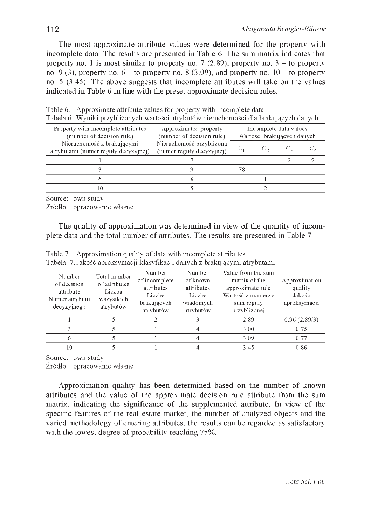The most approximate attribute values were determined for the property with incomplete data. The results are presented in Table 6. The sum matrix indicates that property no. 1 is most similar to property no. 7 (2.89), property no.  $3 -$  to property no. 9 (3), property no. 6 - to property no. 8 (3.09), and property no.  $10 -$  to property no. 5 (3.45). The above suggests that incomplete attributes will take on the values indicated in Table 6 in line with the preset approximate decision rules.

| Property with incomplete attributes<br>(number of decision rule)   | Approximated property<br>(number of decision rule)    | Incomplete data values<br>Wartości brakujących danych |  |  |  |  |
|--------------------------------------------------------------------|-------------------------------------------------------|-------------------------------------------------------|--|--|--|--|
| Nieruchomość z brakującymi<br>atrybutami (numer reguły decyzyjnej) | Nieruchomość przybliżona<br>(numer reguly decyzyjnej) |                                                       |  |  |  |  |
|                                                                    |                                                       |                                                       |  |  |  |  |
|                                                                    |                                                       | 78                                                    |  |  |  |  |
|                                                                    |                                                       |                                                       |  |  |  |  |
| 10                                                                 |                                                       |                                                       |  |  |  |  |
|                                                                    |                                                       |                                                       |  |  |  |  |

Table 6. Approximate attribute values for property with incomplete data Tabela <sup>6</sup> . Wyniki przybliżonych wartości atrybutów nieruchomości dla brakujących danych

Source: own study

Źródło: opracowanie własne

The quality of approximation was determined in view of the quantity of incomplete data and the total number of attributes. The results are presented in Table 7.

| Number<br>of decision<br>attribute<br>Numer atrybutu<br>decyzyjnego | Total number<br>of attributes<br>Liczba<br>wszystkich<br>atrybutów | Number<br>of incomplete<br>attributes<br>Liczba<br>brakujących<br>atrybutów | Number<br>of known<br>attributes<br>Liczba<br>wiadomych<br>atrybutów | Value from the sum<br>matrix of the<br>approximate rule<br>Wartość z macierzy<br>sum reguly<br>przybliżonej | Approximation<br>quality<br>Jakość<br>aproksymacji |
|---------------------------------------------------------------------|--------------------------------------------------------------------|-----------------------------------------------------------------------------|----------------------------------------------------------------------|-------------------------------------------------------------------------------------------------------------|----------------------------------------------------|
|                                                                     |                                                                    |                                                                             |                                                                      | 2.89                                                                                                        | 0.96(2.89/3)                                       |
|                                                                     |                                                                    |                                                                             |                                                                      | 3.00                                                                                                        | 0.75                                               |
| 6                                                                   |                                                                    |                                                                             |                                                                      | 3.09                                                                                                        | 0.77                                               |
| 10                                                                  |                                                                    |                                                                             |                                                                      | 3.45                                                                                                        | 0.86                                               |

Table 7. Approximation quality of data with incomplete attributes Tabela. 7. Jakość aproksymacji klasyfikacji danych z brakującymi atrybutami

Source: own study

Źródło: opracowanie własne

Approximation quality has been determined based on the number of known attributes and the value of the approximate decision rule attribute from the sum matrix, indicating the significance of the supplemented attribute. In view of the specific features of the real estate market, the number of analyzed objects and the varied methodology of entering attributes, the results can be regarded as satisfactory with the lowest degree of probability reaching 75%.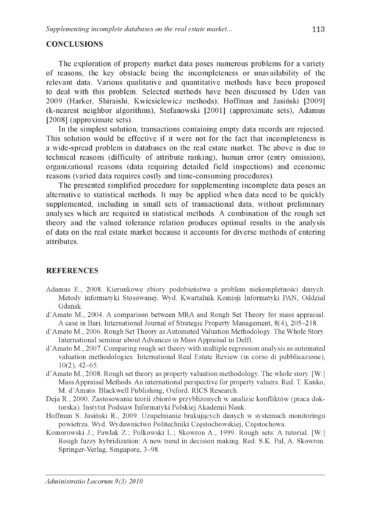#### **CONCLUSIONS**

The exploration of property market data poses numerous problems for a variety of reasons, the key obstacle being the incompleteness or unavailability of the relevant data. Various qualitative and quantitative methods have been proposed to deal with this problem. Selected methods have been discussed by Uden van 2009 (Harker, Shiraishi, Kwiesielewicz methods); Hoffman and Jasiński [2009] (k-nearest neighbor algorithms), Stefanowski [2001] (approximate sets), Adamus  $[2008]$  (approximate sets).

In the simplest solution, transactions containing empty data records are rejected. This solution would be effective if it were not for the fact that incompleteness is a w ide-spread problem in databases on the real estate market. The above is due to technical reasons (difficulty of attribute ranking), human error (entry omission), organizational reasons (data requiring detailed field inspections) and economic reasons (varied data requires costly and time-consuming procedures).

The presented simplified procedure for supplementing incomplete data poses an alternative to statistical methods. It may be applied when data need to be quickly supplemented, including in small sets of transactional data, without preliminary analyses which are required in statistical methods. A combination of the rough set theory and the valued tolerance relation produces optimal results in the analysis of data on the real estate market because it accounts for diverse methods of entering attributes.

#### **REFERENCES**

- Adamus E., 2008. Kierunkowe zbiory podobieństwa a problem niekompletności danych. Metody informatyki Stosowanej. Wyd. Kwartalnik Komisji Informatyki PAN, Oddział Gdańsk.
- d'Amato M., 2004. A comparison between MRA and Rough Set Theory for mass appraisal. A case in Bari. International Journal of Strategic Property Management, 8(4), 205-218.
- d'Amato M., 2006. Rough Set Theory as Automated Valuation Methodology. The Whole Story. International seminar about Advances in Mass Appraisal in Delft.
- d'Amato M., 2007. Comparing rough set theory with multiple regression analysis as automated valuation methodologies. International Real Estate Review (in corso di pubblicazione), 10(2), 42-65.
- d'Amato M., 2008. Rough set theory as property valuation methodology. The whole story. [W:] Mass Appraisal Methods. An international perspective for property valuers. Red. T. Kauko, M. d'Amato. Blackwell Publishing, Oxford. RICS Research.
- Deja R., 2000. Zastosowanie teorii zbiorów przybliżonych w analizie konfliktów (praca doktorska). Instytut Podstaw Informatyki Polskiej Akademii Nauk.
- Hoffman S. Jasiński R., 2009. Uzupełnianie brakujących danych w systemach monitoringu powietrza. Wyd. Wydawnictwo Politechniki Częstochowskiej, Częstochowa.
- Komorowski J.; Pawlak Z.; Polkowski L.; Skowron A., 1999. Rough sets: A tutorial. [W:] Rough fuzzy hybridization: A new trend in decision making. Red. S.K. Pal, A. Skowron. Springer-Verlag, Singapore, 3-98.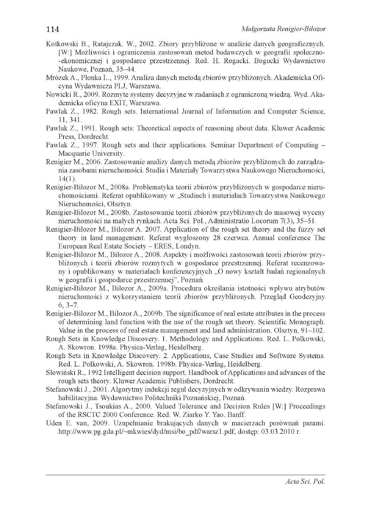- Kotkowski B., Ratajczak. W., 2002. Zbiory przybliżone w analizie danych geograficznych. [W:] Możliwości i ograniczenia zastosowań metod badawczych w geografii społecznoekonomicznej i gospodarce przestrzennej. Red. H. Rogacki. Bogucki Wydawnictwo Naukowe, Poznań, 35-44.
- Mrózek A., Płonka L., 1999. Analiza danych metodą zbiorów przybliżonych. Akademicka Oficyna Wydawnicza PLJ, Warszawa.
- Nowicki R., 2009. Rozmyte systemy decyzyjne w zadaniach z ograniczoną wiedzą. Wyd. Akademicka oficyna EXIT, Warszawa.
- Pawlak Z., 1982. Rough sets. International Journal of Information and Computer Science, 11, 341.
- Pawlak Z., 1991. Rough sets: Theoretical aspects of reasoning about data. Kluwer Academic Press, Dordrecht.
- Pawlak Z., 1997. Rough sets and their applications. Seminar Department of Computing Macquarie University.
- Renigier M., 2006. Zastosowanie analizy danych metodą zbiorów przybliżonych do zarządzania zasobami nieruchomości. Studia i Materiały Towarzystwa Naukowego Nieruchomości. 14(1).
- Renigier-Biłozor M., 2008a. Problematyka teorii zbiorów przybliżonych w gospodarce nieruchomościami. Referat opublikowany w "Studiach i materiałach Towarzystwa Naukowego Nieruchomości, Olsztyn.
- Renigier-Biłozor M., 2008b. Zastosowanie teorii zbiorów przybliżonych do masowej wyceny nieruchomości na małych rynkach. Acta Sci. Pol., Administratio Locorum 7(3), 35-51.
- Renigier-Biłozor M., Biłozor A. 2007. Application of the rough set theory and the fuzzy set theory in land management. Referat wygłoszony 28 czerwca. Annual conference The European Real Estate Society - ERES, Londyn.
- Renigier-Biłozor M., Biłozor A., 2008. Aspekty i możliwości zastosowań teorii zbiorów przybliżonych i teorii zbiorów rozmytych w gospodarce przestrzennej. Referat recenzowany i opublikowany w materiałach konferencyjnych "O nowy kształt badań regionalnych w geografii i gospodarce przestrzennej", Poznań.
- Renigier-Biłozor M., Biłozor A., 2009a. Procedura określania istotności wpływu atrybutów nieruchomości z wykorzystaniem teorii zbiorów przybliżonych. Przegląd Geodezyjny  $6, 3-7.$
- Renigier-Biłozor M., Biłozor A., 2009b. The significance of real estate attributes in the process of determining land function with the use of the rough set theory. Scientific Monograph. Value in the process of real estate management and land administration. Olsztyn, 91-102.
- Rough Sets in Knowledge Discovery. 1. Methodology and Applications. Red. L. Polkowski, A. Skowron. 1998a. Physica-Verlag, Heidelberg.
- Rough Sets in Knowledge Discovery. 2. Applications, Case Studies and Software Systems. Red. L. Polkowski, A. Skowron. 1998b. Physica-Verlag, Heidelberg.
- Słowiński R., 1992 Intelligent decision support. Handbook of Applications and advances of the rough sets theory. Kluwer Academic Publishers, Dordrecht.
- Stefanowski J., 2001. Algorytmy indukcji reguł decyzyjnych w odkrywaniu wiedzy. Rozprawa habilitacyjna. Wydawnictwo Politechniki Poznańskiej, Poznań.
- Stefanowski J., Tsoukias A., 2000. Valued Tolerance and Decision Rules [W:] Proceedings of the RSCTC 2000 Conference. Red. W. Ziarko Y. Yao. Banff.
- Uden E. van, 2009. Uzupełnianie brakujących danych w macierzach porównań parami. [http://www.pg.gda.pl/~mkwies/dyd/msi/bo\\_pdf/warsz1.pdf](http://www.pg.gda.pl/~mkwies/dyd/msi/bo_pdf/warsz1.pdf), dostęp: 03.03.2010 r.